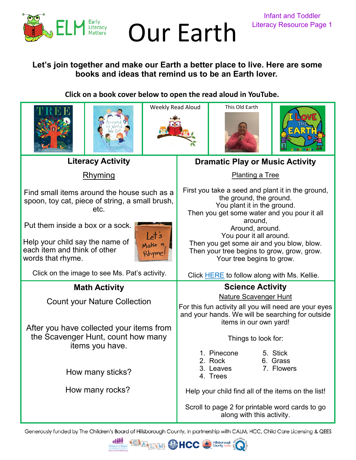

## Our Earth Literacy Resource Page 1

## **Let's join together and make our Earth a better place to live. Here are some books and ideas that remind us to be an Earth lover.**

## **Click on a book cover below to open the read aloud in YouTube.**



Generously funded by The Children's Board of Hillsborough County, in partnership with CALM, HCC, Child Care Licensing & QEES